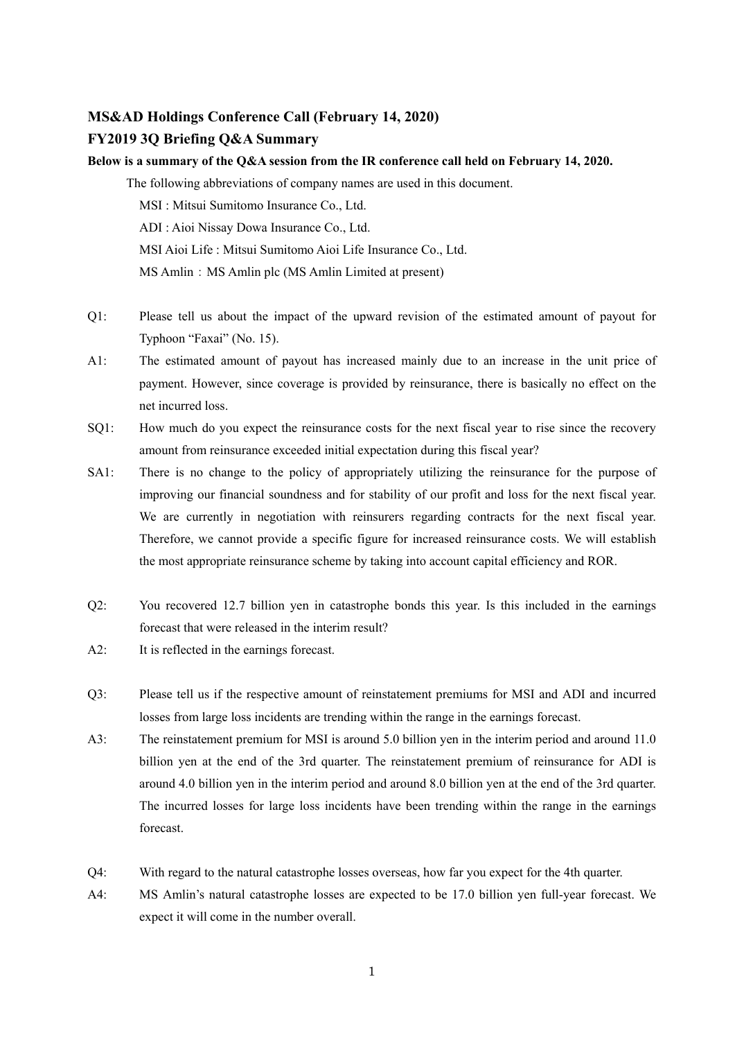## **MS&AD Holdings Conference Call (February 14, 2020)**

## **FY2019 3Q Briefing Q&A Summary**

**Below is a summary of the Q&A session from the IR conference call held on February 14, 2020.**  The following abbreviations of company names are used in this document. MSI : Mitsui Sumitomo Insurance Co., Ltd. ADI : Aioi Nissay Dowa Insurance Co., Ltd. MSI Aioi Life : Mitsui Sumitomo Aioi Life Insurance Co., Ltd. MS Amlin: MS Amlin plc (MS Amlin Limited at present)

- Q1: Please tell us about the impact of the upward revision of the estimated amount of payout for Typhoon "Faxai" (No. 15).
- A1: The estimated amount of payout has increased mainly due to an increase in the unit price of payment. However, since coverage is provided by reinsurance, there is basically no effect on the net incurred loss.
- SQ1: How much do you expect the reinsurance costs for the next fiscal year to rise since the recovery amount from reinsurance exceeded initial expectation during this fiscal year?
- SA1: There is no change to the policy of appropriately utilizing the reinsurance for the purpose of improving our financial soundness and for stability of our profit and loss for the next fiscal year. We are currently in negotiation with reinsurers regarding contracts for the next fiscal year. Therefore, we cannot provide a specific figure for increased reinsurance costs. We will establish the most appropriate reinsurance scheme by taking into account capital efficiency and ROR.
- Q2: You recovered 12.7 billion yen in catastrophe bonds this year. Is this included in the earnings forecast that were released in the interim result?
- A2: It is reflected in the earnings forecast.
- Q3: Please tell us if the respective amount of reinstatement premiums for MSI and ADI and incurred losses from large loss incidents are trending within the range in the earnings forecast.
- A3: The reinstatement premium for MSI is around 5.0 billion yen in the interim period and around 11.0 billion yen at the end of the 3rd quarter. The reinstatement premium of reinsurance for ADI is around 4.0 billion yen in the interim period and around 8.0 billion yen at the end of the 3rd quarter. The incurred losses for large loss incidents have been trending within the range in the earnings forecast.
- Q4: With regard to the natural catastrophe losses overseas, how far you expect for the 4th quarter.
- A4: MS Amlin's natural catastrophe losses are expected to be 17.0 billion yen full-year forecast. We expect it will come in the number overall.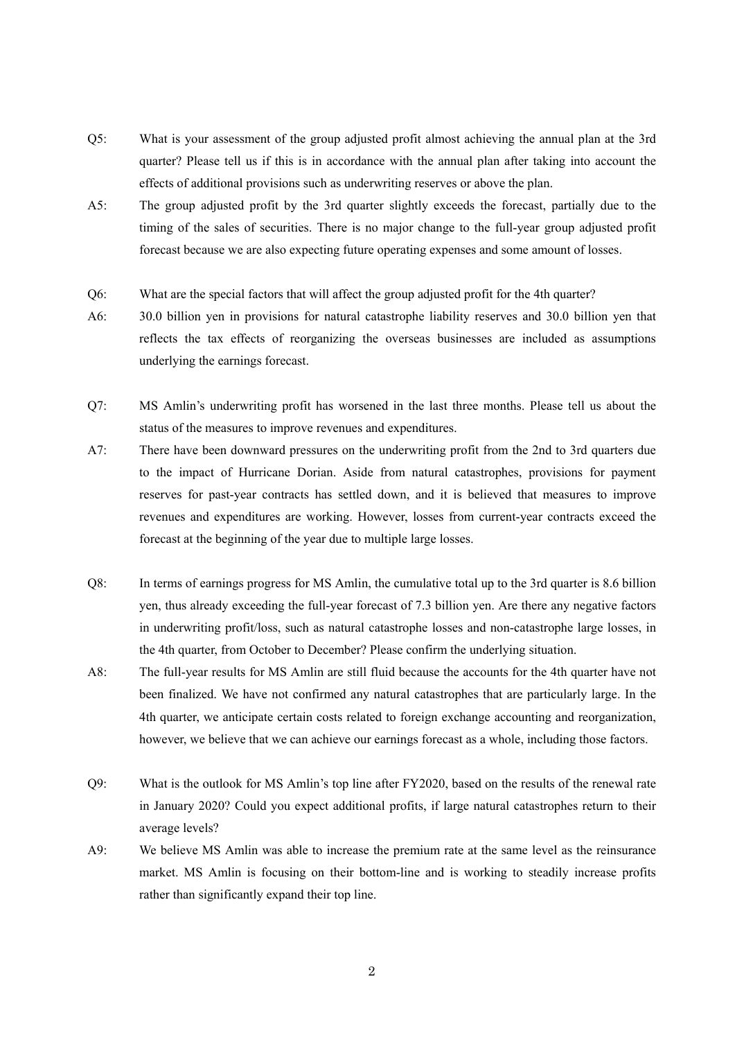- Q5: What is your assessment of the group adjusted profit almost achieving the annual plan at the 3rd quarter? Please tell us if this is in accordance with the annual plan after taking into account the effects of additional provisions such as underwriting reserves or above the plan.
- A5: The group adjusted profit by the 3rd quarter slightly exceeds the forecast, partially due to the timing of the sales of securities. There is no major change to the full-year group adjusted profit forecast because we are also expecting future operating expenses and some amount of losses.
- Q6: What are the special factors that will affect the group adjusted profit for the 4th quarter?
- A6: 30.0 billion yen in provisions for natural catastrophe liability reserves and 30.0 billion yen that reflects the tax effects of reorganizing the overseas businesses are included as assumptions underlying the earnings forecast.
- Q7: MS Amlin's underwriting profit has worsened in the last three months. Please tell us about the status of the measures to improve revenues and expenditures.
- A7: There have been downward pressures on the underwriting profit from the 2nd to 3rd quarters due to the impact of Hurricane Dorian. Aside from natural catastrophes, provisions for payment reserves for past-year contracts has settled down, and it is believed that measures to improve revenues and expenditures are working. However, losses from current-year contracts exceed the forecast at the beginning of the year due to multiple large losses.
- Q8: In terms of earnings progress for MS Amlin, the cumulative total up to the 3rd quarter is 8.6 billion yen, thus already exceeding the full-year forecast of 7.3 billion yen. Are there any negative factors in underwriting profit/loss, such as natural catastrophe losses and non-catastrophe large losses, in the 4th quarter, from October to December? Please confirm the underlying situation.
- A8: The full-year results for MS Amlin are still fluid because the accounts for the 4th quarter have not been finalized. We have not confirmed any natural catastrophes that are particularly large. In the 4th quarter, we anticipate certain costs related to foreign exchange accounting and reorganization, however, we believe that we can achieve our earnings forecast as a whole, including those factors.
- Q9: What is the outlook for MS Amlin's top line after FY2020, based on the results of the renewal rate in January 2020? Could you expect additional profits, if large natural catastrophes return to their average levels?
- A9: We believe MS Amlin was able to increase the premium rate at the same level as the reinsurance market. MS Amlin is focusing on their bottom-line and is working to steadily increase profits rather than significantly expand their top line.